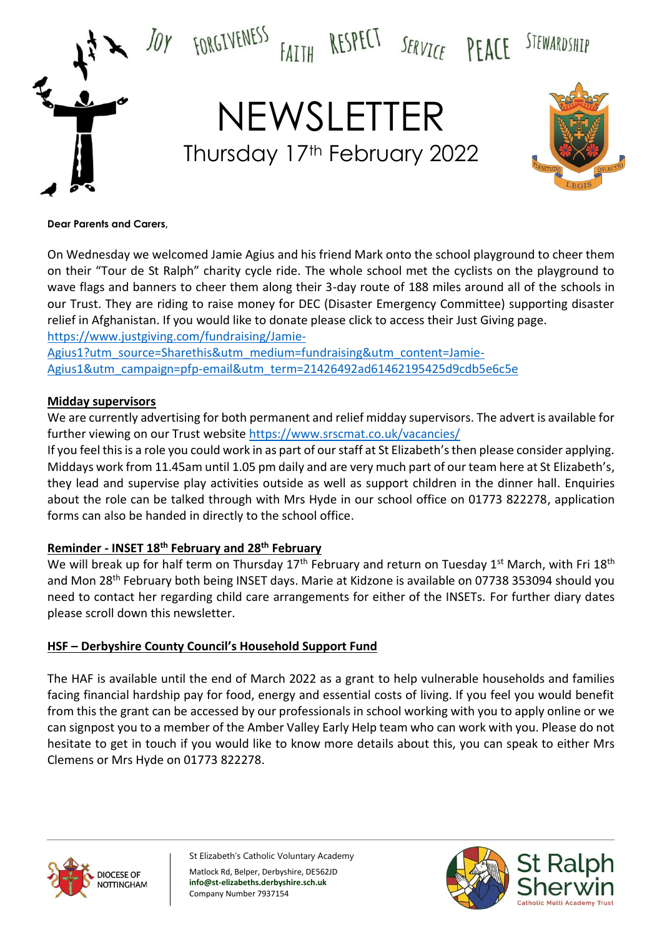

#### **Dear Parents and Carers,**

On Wednesday we welcomed Jamie Agius and his friend Mark onto the school playground to cheer them on their "Tour de St Ralph" charity cycle ride. The whole school met the cyclists on the playground to wave flags and banners to cheer them along their 3-day route of 188 miles around all of the schools in our Trust. They are riding to raise money for DEC (Disaster Emergency Committee) supporting disaster relief in Afghanistan. If you would like to donate please click to access their Just Giving page. [https://www.justgiving.com/fundraising/Jamie-](https://www.justgiving.com/fundraising/Jamie-Agius1?utm_source=Sharethis&utm_medium=fundraising&utm_content=Jamie-Agius1&utm_campaign=pfp-email&utm_term=21426492ad61462195425d9cdb5e6c5e)

[Agius1?utm\\_source=Sharethis&utm\\_medium=fundraising&utm\\_content=Jamie-](https://www.justgiving.com/fundraising/Jamie-Agius1?utm_source=Sharethis&utm_medium=fundraising&utm_content=Jamie-Agius1&utm_campaign=pfp-email&utm_term=21426492ad61462195425d9cdb5e6c5e)[Agius1&utm\\_campaign=pfp-email&utm\\_term=21426492ad61462195425d9cdb5e6c5e](https://www.justgiving.com/fundraising/Jamie-Agius1?utm_source=Sharethis&utm_medium=fundraising&utm_content=Jamie-Agius1&utm_campaign=pfp-email&utm_term=21426492ad61462195425d9cdb5e6c5e)

## **Midday supervisors**

We are currently advertising for both permanent and relief midday supervisors. The advert is available for further viewing on our Trust websit[e https://www.srscmat.co.uk/vacancies/](https://www.srscmat.co.uk/vacancies/)

If you feel this is a role you could work in as part of our staff at St Elizabeth's then please consider applying. Middays work from 11.45am until 1.05 pm daily and are very much part of our team here at St Elizabeth's, they lead and supervise play activities outside as well as support children in the dinner hall. Enquiries about the role can be talked through with Mrs Hyde in our school office on 01773 822278, application forms can also be handed in directly to the school office.

## **Reminder - INSET 18th February and 28th February**

We will break up for half term on Thursday 17<sup>th</sup> February and return on Tuesday 1<sup>st</sup> March, with Fri 18<sup>th</sup> and Mon 28<sup>th</sup> February both being INSET days. Marie at Kidzone is available on 07738 353094 should you need to contact her regarding child care arrangements for either of the INSETs. For further diary dates please scroll down this newsletter.

### **HSF – Derbyshire County Council's Household Support Fund**

The HAF is available until the end of March 2022 as a grant to help vulnerable households and families facing financial hardship pay for food, energy and essential costs of living. If you feel you would benefit from this the grant can be accessed by our professionals in school working with you to apply online or we can signpost you to a member of the Amber Valley Early Help team who can work with you. Please do not hesitate to get in touch if you would like to know more details about this, you can speak to either Mrs Clemens or Mrs Hyde on 01773 822278.



St Elizabeth's Catholic Voluntary Academy Matlock Rd, Belper, Derbyshire, DE562JD **info@st-elizabeths.derbyshire.sch.uk** Company Number 7937154

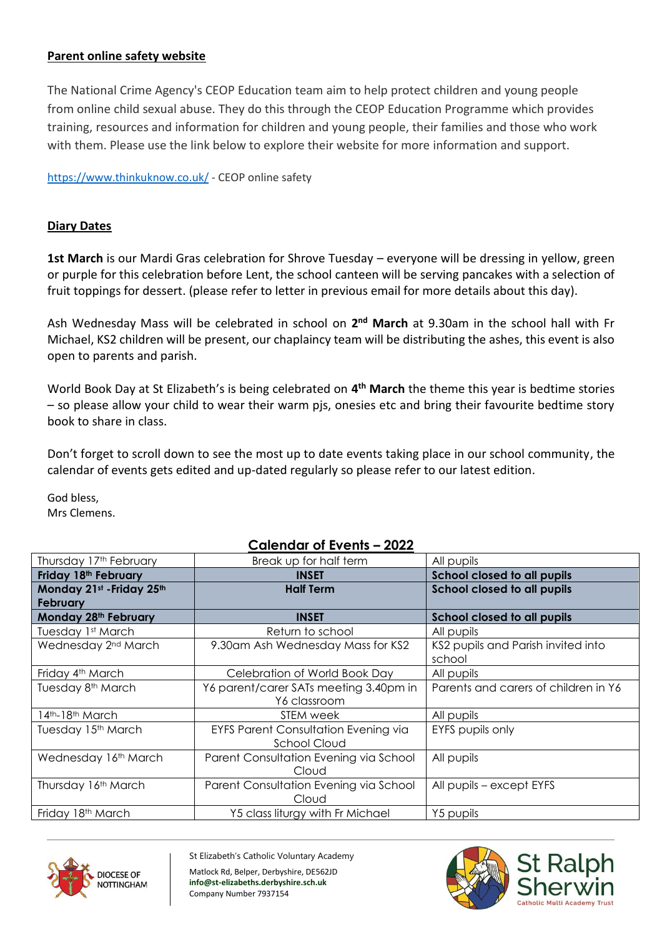## **Parent online safety website**

The National Crime Agency's CEOP Education team aim to help protect children and young people from online child sexual abuse. They do this through the CEOP Education Programme which provides training, resources and information for children and young people, their families and those who work with them. Please use the link below to explore their website for more information and support.

[https://www.thinkuknow.co.uk/](https://linkprotect.cudasvc.com/url?a=https%3a%2f%2fwww.thinkuknow.co.uk%2f&c=E,1,6II01rNKoJcaem-D8iLxonOym4SoVrA7nfZHsXZBSShft46A5TooGOLNrMmk7wc0ApRHy66pKxp8rTcmX5WD5Fj_5m0xPRSXY96k1lixenyq1rU0lGymD5bhgycf&typo=1) - CEOP online safety

# **Diary Dates**

**1st March** is our Mardi Gras celebration for Shrove Tuesday – everyone will be dressing in yellow, green or purple for this celebration before Lent, the school canteen will be serving pancakes with a selection of fruit toppings for dessert. (please refer to letter in previous email for more details about this day).

Ash Wednesday Mass will be celebrated in school on 2<sup>nd</sup> March at 9.30am in the school hall with Fr Michael, KS2 children will be present, our chaplaincy team will be distributing the ashes, this event is also open to parents and parish.

World Book Day at St Elizabeth's is being celebrated on **4 th March** the theme this year is bedtime stories – so please allow your child to wear their warm pjs, onesies etc and bring their favourite bedtime story book to share in class.

Don't forget to scroll down to see the most up to date events taking place in our school community, the calendar of events gets edited and up-dated regularly so please refer to our latest edition.

God bless, Mrs Clemens.

#### Thursday 17<sup>th</sup> February **Exercise Setup** Break up for half term **All pupils Friday 18th February INSET School closed to all pupils Monday 21st -Friday 25th February Half Term School closed to all pupils Monday 28th February INSET School closed to all pupils** Tuesday 1st March Return to school All pupils Wednesday  $2^{nd}$  March  $\vert$  9.30am Ash Wednesday Mass for KS2  $\vert$  KS2 pupils and Parish invited into school Friday 4<sup>th</sup> March **Celebration of World Book Day** All pupils Tuesday 8<sup>th</sup> March 1945 | Y6 parent/carer SATs meeting 3.40pm in Y6 classroom Parents and carers of children in Y6 14th-18th March **STEM week** All pupils and the STEM week and All pupils Tuesday 15<sup>th</sup> March **EXFS Parent Consultation Evening via** School Cloud EYFS pupils only Wednesday 16<sup>th</sup> March | Parent Consultation Evening via School Cloud All pupils Thursday 16th March Parent Consultation Evening via School Cloud All pupils – except EYFS Friday 18<sup>th</sup> March **National Contract Contract Prior** Y5 class liturgy with Fr Michael Prior Y5 pupils





St Elizabeth's Catholic Voluntary Academy Matlock Rd, Belper, Derbyshire, DE562JD **info@st-elizabeths.derbyshire.sch.uk** Company Number 7937154